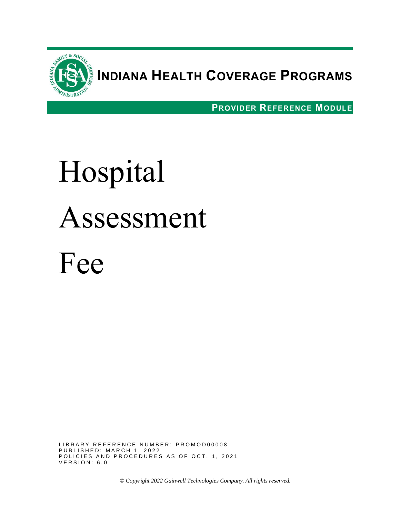

# **INDIANA HEALTH COVERAGE PROGRAMS**

**PROVIDER REFERENCE MODULE**

# Hospital Assessment Fee

LIBRARY REFERENCE NUMBER: PROMOD00008 P U B L I S H E D : M A R C H 1 , 2 0 2 2 POLICIES AND PROCEDURES AS OF OCT. 1, 2021 VERSION: 6.0

*© Copyright 2022 Gainwell Technologies Company. All rights reserved.*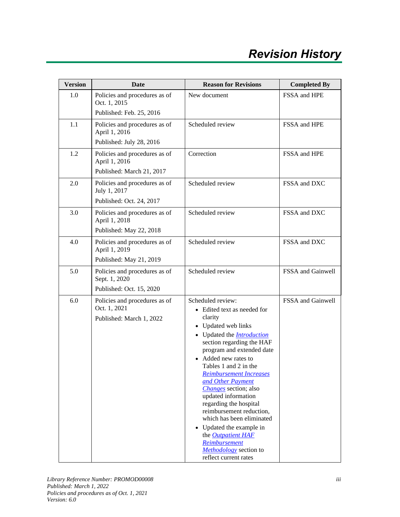| <b>Version</b> | <b>Date</b>                                                                 | <b>Reason for Revisions</b>                                                                                                                                                                                                                                                                                                                                                                                                                                                                                                                                                              | <b>Completed By</b> |
|----------------|-----------------------------------------------------------------------------|------------------------------------------------------------------------------------------------------------------------------------------------------------------------------------------------------------------------------------------------------------------------------------------------------------------------------------------------------------------------------------------------------------------------------------------------------------------------------------------------------------------------------------------------------------------------------------------|---------------------|
| 1.0            | Policies and procedures as of<br>Oct. 1, 2015<br>Published: Feb. 25, 2016   | New document                                                                                                                                                                                                                                                                                                                                                                                                                                                                                                                                                                             | FSSA and HPE        |
| 1.1            | Policies and procedures as of<br>April 1, 2016<br>Published: July 28, 2016  | Scheduled review                                                                                                                                                                                                                                                                                                                                                                                                                                                                                                                                                                         | FSSA and HPE        |
| 1.2            | Policies and procedures as of<br>April 1, 2016<br>Published: March 21, 2017 | Correction                                                                                                                                                                                                                                                                                                                                                                                                                                                                                                                                                                               | FSSA and HPE        |
| 2.0            | Policies and procedures as of<br>July 1, 2017<br>Published: Oct. 24, 2017   | Scheduled review                                                                                                                                                                                                                                                                                                                                                                                                                                                                                                                                                                         | FSSA and DXC        |
| 3.0            | Policies and procedures as of<br>April 1, 2018<br>Published: May 22, 2018   | Scheduled review                                                                                                                                                                                                                                                                                                                                                                                                                                                                                                                                                                         | FSSA and DXC        |
| 4.0            | Policies and procedures as of<br>April 1, 2019<br>Published: May 21, 2019   | Scheduled review                                                                                                                                                                                                                                                                                                                                                                                                                                                                                                                                                                         | FSSA and DXC        |
| 5.0            | Policies and procedures as of<br>Sept. 1, 2020<br>Published: Oct. 15, 2020  | Scheduled review                                                                                                                                                                                                                                                                                                                                                                                                                                                                                                                                                                         | FSSA and Gainwell   |
| 6.0            | Policies and procedures as of<br>Oct. 1, 2021<br>Published: March 1, 2022   | Scheduled review:<br>• Edited text as needed for<br>clarity<br>Updated web links<br>$\bullet$<br>Updated the <b>Introduction</b><br>$\bullet$<br>section regarding the HAF<br>program and extended date<br>Added new rates to<br>Tables 1 and 2 in the<br><b>Reimbursement Increases</b><br>and Other Payment<br><i>Changes</i> section; also<br>updated information<br>regarding the hospital<br>reimbursement reduction,<br>which has been eliminated<br>Updated the example in<br>$\bullet$<br>the Outpatient HAF<br>Reimbursement<br>Methodology section to<br>reflect current rates | FSSA and Gainwell   |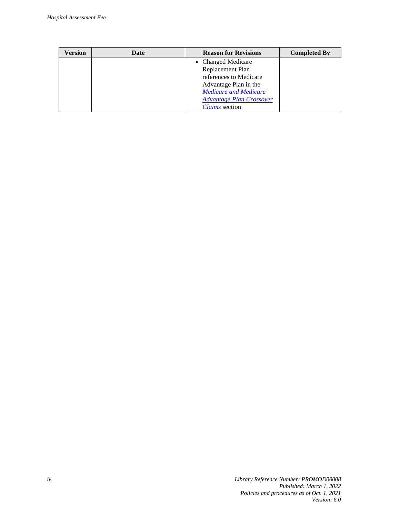| Version | Date | <b>Reason for Revisions</b>     | <b>Completed By</b> |
|---------|------|---------------------------------|---------------------|
|         |      | • Changed Medicare              |                     |
|         |      | Replacement Plan                |                     |
|         |      | references to Medicare          |                     |
|         |      | Advantage Plan in the           |                     |
|         |      | <b>Medicare and Medicare</b>    |                     |
|         |      | <b>Advantage Plan Crossover</b> |                     |
|         |      | <b>Claims</b> section           |                     |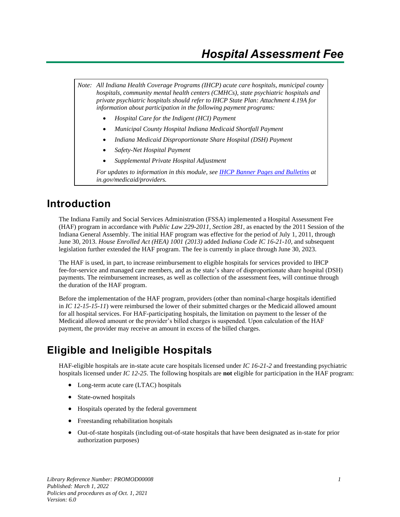*Note: All Indiana Health Coverage Programs (IHCP) acute care hospitals, municipal county hospitals, community mental health centers (CMHCs), state psychiatric hospitals and private psychiatric hospitals should refer to IHCP State Plan: Attachment 4.19A for information about participation in the following payment programs:*

- *Hospital Care for the Indigent (HCI) Payment*
- *Municipal County Hospital Indiana Medicaid Shortfall Payment*
- *Indiana Medicaid Disproportionate Share Hospital (DSH) Payment*
- *Safety-Net Hospital Payment*
- *Supplemental Private Hospital Adjustment*

*For updates to information in this module, see IHCP [Banner Pages and Bulletins](https://www.in.gov/medicaid/providers/provider-references/news-bulletins-and-banner-pages/) at in.gov/medicaid/providers.*

#### <span id="page-6-0"></span>**Introduction**

The Indiana Family and Social Services Administration (FSSA) implemented a Hospital Assessment Fee (HAF) program in accordance with *Public Law 229-2011, Section 281,* as enacted by the 2011 Session of the Indiana General Assembly. The initial HAF program was effective for the period of July 1, 2011, through June 30, 2013. *House Enrolled Act (HEA) 1001 (2013)* added *Indiana Code IC 16-21-10,* and subsequent legislation further extended the HAF program. The fee is currently in place through June 30, 2023.

The HAF is used, in part, to increase reimbursement to eligible hospitals for services provided to IHCP fee-for-service and managed care members, and as the state's share of disproportionate share hospital (DSH) payments. The reimbursement increases, as well as collection of the assessment fees, will continue through the duration of the HAF program.

Before the implementation of the HAF program, providers (other than nominal-charge hospitals identified in *IC 12-15-15-11*) were reimbursed the lower of their submitted charges or the Medicaid allowed amount for all hospital services. For HAF-participating hospitals, the limitation on payment to the lesser of the Medicaid allowed amount or the provider's billed charges is suspended. Upon calculation of the HAF payment, the provider may receive an amount in excess of the billed charges.

#### <span id="page-6-1"></span>**Eligible and Ineligible Hospitals**

HAF-eligible hospitals are in-state acute care hospitals licensed under *IC 16-21-2* and freestanding psychiatric hospitals licensed under *IC 12-25*. The following hospitals are **not** eligible for participation in the HAF program:

- Long-term acute care (LTAC) hospitals
- State-owned hospitals
- Hospitals operated by the federal government
- Freestanding rehabilitation hospitals
- Out-of-state hospitals (including out-of-state hospitals that have been designated as in-state for prior authorization purposes)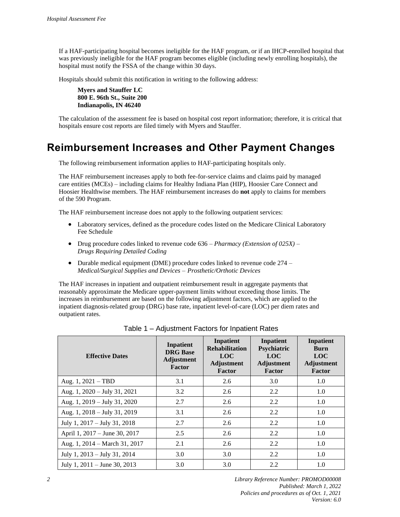If a HAF-participating hospital becomes ineligible for the HAF program, or if an IHCP-enrolled hospital that was previously ineligible for the HAF program becomes eligible (including newly enrolling hospitals), the hospital must notify the FSSA of the change within 30 days.

Hospitals should submit this notification in writing to the following address:

**Myers and Stauffer LC 800 E. 96th St., Suite 200 Indianapolis, IN 46240** 

The calculation of the assessment fee is based on hospital cost report information; therefore, it is critical that hospitals ensure cost reports are filed timely with Myers and Stauffer.

#### <span id="page-7-0"></span>**Reimbursement Increases and Other Payment Changes**

The following reimbursement information applies to HAF-participating hospitals only.

The HAF reimbursement increases apply to both fee-for-service claims and claims paid by managed care entities (MCEs) – including claims for Healthy Indiana Plan (HIP), Hoosier Care Connect and Hoosier Healthwise members. The HAF reimbursement increases do **not** apply to claims for members of the 590 Program.

The HAF reimbursement increase does not apply to the following outpatient services:

- Laboratory services, defined as the procedure codes listed on the Medicare Clinical Laboratory Fee Schedule
- Drug procedure codes linked to revenue code 636 *Pharmacy (Extension of 025X) – Drugs Requiring Detailed Coding*
- Durable medical equipment (DME) procedure codes linked to revenue code 274 *Medical/Surgical Supplies and Devices – Prosthetic/Orthotic Devices*

The HAF increases in inpatient and outpatient reimbursement result in aggregate payments that reasonably approximate the Medicare upper-payment limits without exceeding those limits. The increases in reimbursement are based on the following adjustment factors, which are applied to the inpatient diagnosis-related group (DRG) base rate, inpatient level-of-care (LOC) per diem rates and outpatient rates.

| <b>Effective Dates</b>           | Inpatient<br><b>DRG</b> Base<br><b>Adjustment</b><br>Factor | Inpatient<br><b>Rehabilitation</b><br><b>LOC</b><br>Adjustment<br>Factor | Inpatient<br>Psychiatric<br><b>LOC</b><br>Adjustment<br>Factor | Inpatient<br>Burn<br><b>LOC</b><br>Adjustment<br>Factor |
|----------------------------------|-------------------------------------------------------------|--------------------------------------------------------------------------|----------------------------------------------------------------|---------------------------------------------------------|
| Aug. $1, 2021 - TBD$             | 3.1                                                         | 2.6                                                                      | 3.0                                                            | 1.0                                                     |
| Aug. 1, $2020 - July 31, 2021$   | 3.2                                                         | 2.6                                                                      | 2.2                                                            | 1.0                                                     |
| Aug. 1, 2019 – July 31, 2020     | 2.7                                                         | 2.6                                                                      | 2.2                                                            | 1.0                                                     |
| Aug. 1, 2018 - July 31, 2019     | 3.1                                                         | 2.6                                                                      | 2.2                                                            | 1.0                                                     |
| July 1, $2017 -$ July 31, $2018$ | 2.7                                                         | 2.6                                                                      | 2.2                                                            | 1.0                                                     |
| April 1, 2017 – June 30, 2017    | 2.5                                                         | 2.6                                                                      | 2.2                                                            | 1.0                                                     |
| Aug. 1, 2014 – March 31, 2017    | 2.1                                                         | 2.6                                                                      | 2.2                                                            | 1.0                                                     |
| July 1, 2013 – July 31, 2014     | 3.0                                                         | 3.0                                                                      | 2.2                                                            | 1.0                                                     |
| July 1, $2011 -$ June 30, $2013$ | 3.0                                                         | 3.0                                                                      | 2.2                                                            | 1.0                                                     |

Table 1 – Adjustment Factors for Inpatient Rates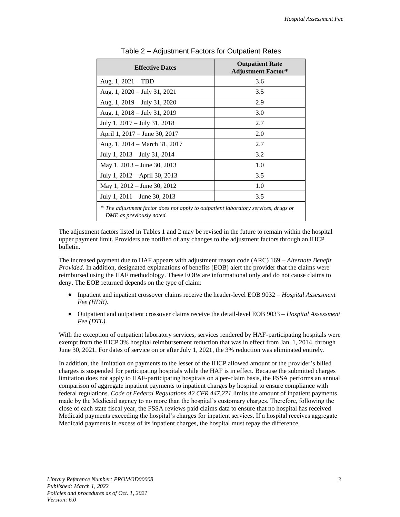| <b>Effective Dates</b>                                                                                         | <b>Outpatient Rate</b><br><b>Adjustment Factor*</b> |  |  |
|----------------------------------------------------------------------------------------------------------------|-----------------------------------------------------|--|--|
| Aug. $1, 2021 - TBD$                                                                                           | 3.6                                                 |  |  |
| Aug. 1, 2020 – July 31, 2021                                                                                   | 3.5                                                 |  |  |
| Aug. 1, 2019 – July 31, 2020                                                                                   | 2.9                                                 |  |  |
| Aug. 1, 2018 – July 31, 2019                                                                                   | 3.0                                                 |  |  |
| July 1, $2017 -$ July 31, $2018$                                                                               | 2.7                                                 |  |  |
| April 1, 2017 – June 30, 2017                                                                                  | 2.0                                                 |  |  |
| Aug. 1, 2014 – March 31, 2017                                                                                  | 2.7                                                 |  |  |
| July 1, $2013 -$ July 31, $2014$                                                                               | 3.2                                                 |  |  |
| May 1, 2013 – June 30, 2013                                                                                    | 1.0                                                 |  |  |
| July 1, 2012 – April 30, 2013                                                                                  | 3.5                                                 |  |  |
| May 1, 2012 – June 30, 2012                                                                                    | 1.0                                                 |  |  |
| July 1, $2011 -$ June 30, 2013                                                                                 | 3.5                                                 |  |  |
| * The adjustment factor does not apply to outpatient laboratory services, drugs or<br>DME as previously noted. |                                                     |  |  |

Table 2 – Adjustment Factors for Outpatient Rates

The adjustment factors listed in Tables 1 and 2 may be revised in the future to remain within the hospital upper payment limit. Providers are notified of any changes to the adjustment factors through an IHCP bulletin.

The increased payment due to HAF appears with adjustment reason code (ARC) 169 – *Alternate Benefit Provided*. In addition, designated explanations of benefits (EOB) alert the provider that the claims were reimbursed using the HAF methodology. These EOBs are informational only and do not cause claims to deny. The EOB returned depends on the type of claim:

- Inpatient and inpatient crossover claims receive the header-level EOB 9032 *Hospital Assessment Fee (HDR)*.
- Outpatient and outpatient crossover claims receive the detail-level EOB 9033 *Hospital Assessment Fee (DTL)*.

With the exception of outpatient laboratory services, services rendered by HAF-participating hospitals were exempt from the IHCP 3% hospital reimbursement reduction that was in effect from Jan. 1, 2014, through June 30, 2021. For dates of service on or after July 1, 2021, the 3% reduction was eliminated entirely.

In addition, the limitation on payments to the lesser of the IHCP allowed amount or the provider's billed charges is suspended for participating hospitals while the HAF is in effect. Because the submitted charges limitation does not apply to HAF-participating hospitals on a per-claim basis, the FSSA performs an annual comparison of aggregate inpatient payments to inpatient charges by hospital to ensure compliance with federal regulations. *Code of Federal Regulations 42 CFR 447.271* limits the amount of inpatient payments made by the Medicaid agency to no more than the hospital's customary charges. Therefore, following the close of each state fiscal year, the FSSA reviews paid claims data to ensure that no hospital has received Medicaid payments exceeding the hospital's charges for inpatient services. If a hospital receives aggregate Medicaid payments in excess of its inpatient charges, the hospital must repay the difference.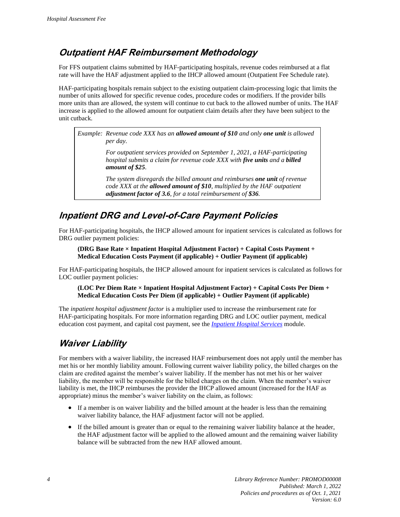#### <span id="page-9-0"></span>**Outpatient HAF Reimbursement Methodology**

For FFS outpatient claims submitted by HAF-participating hospitals, revenue codes reimbursed at a flat rate will have the HAF adjustment applied to the IHCP allowed amount (Outpatient Fee Schedule rate).

HAF-participating hospitals remain subject to the existing outpatient claim-processing logic that limits the number of units allowed for specific revenue codes, procedure codes or modifiers. If the provider bills more units than are allowed, the system will continue to cut back to the allowed number of units. The HAF increase is applied to the allowed amount for outpatient claim details after they have been subject to the unit cutback.

*Example: Revenue code XXX has an allowed amount of \$10 and only one unit is allowed per day.*

> *For outpatient services provided on September 1, 2021, a HAF-participating hospital submits a claim for revenue code XXX with five units and a billed amount of \$25.*

> *The system disregards the billed amount and reimburses one unit of revenue code XXX at the allowed amount of \$10, multiplied by the HAF outpatient adjustment factor of 3.6, for a total reimbursement of \$36.*

#### <span id="page-9-1"></span>**Inpatient DRG and Level-of-Care Payment Policies**

For HAF-participating hospitals, the IHCP allowed amount for inpatient services is calculated as follows for DRG outlier payment policies:

**(DRG Base Rate × Inpatient Hospital Adjustment Factor) + Capital Costs Payment + Medical Education Costs Payment (if applicable) + Outlier Payment (if applicable)**

For HAF-participating hospitals, the IHCP allowed amount for inpatient services is calculated as follows for LOC outlier payment policies:

**(LOC Per Diem Rate × Inpatient Hospital Adjustment Factor) + Capital Costs Per Diem + Medical Education Costs Per Diem (if applicable) + Outlier Payment (if applicable)**

The *inpatient hospital adjustment factor* is a multiplier used to increase the reimbursement rate for HAF-participating hospitals. For more information regarding DRG and LOC outlier payment, medical education cost payment, and capital cost payment, see the *[Inpatient Hospital Services](https://www.in.gov/medicaid/providers/files/inpatient-hospital-services.pdf)* module.

#### <span id="page-9-2"></span>**Waiver Liability**

For members with a waiver liability, the increased HAF reimbursement does not apply until the member has met his or her monthly liability amount. Following current waiver liability policy, the billed charges on the claim are credited against the member's waiver liability. If the member has not met his or her waiver liability, the member will be responsible for the billed charges on the claim. When the member's waiver liability is met, the IHCP reimburses the provider the IHCP allowed amount (increased for the HAF as appropriate) minus the member's waiver liability on the claim, as follows:

- If a member is on waiver liability and the billed amount at the header is less than the remaining waiver liability balance, the HAF adjustment factor will not be applied.
- If the billed amount is greater than or equal to the remaining waiver liability balance at the header, the HAF adjustment factor will be applied to the allowed amount and the remaining waiver liability balance will be subtracted from the new HAF allowed amount.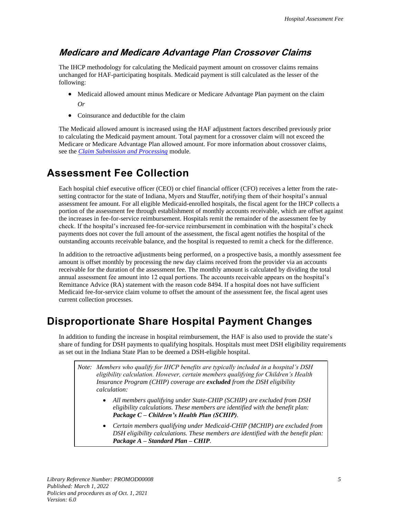#### <span id="page-10-0"></span>**Medicare and Medicare Advantage Plan Crossover Claims**

The IHCP methodology for calculating the Medicaid payment amount on crossover claims remains unchanged for HAF-participating hospitals. Medicaid payment is still calculated as the lesser of the following:

- Medicaid allowed amount minus Medicare or Medicare Advantage Plan payment on the claim *Or*
- Coinsurance and deductible for the claim

The Medicaid allowed amount is increased using the HAF adjustment factors described previously prior to calculating the Medicaid payment amount. Total payment for a crossover claim will not exceed the Medicare or Medicare Advantage Plan allowed amount. For more information about crossover claims, see the *[Claim Submission and Processing](https://www.in.gov/medicaid/providers/files/claim-submission-and-processing.pdf)* module.

### <span id="page-10-1"></span>**Assessment Fee Collection**

Each hospital chief executive officer (CEO) or chief financial officer (CFO) receives a letter from the ratesetting contractor for the state of Indiana, Myers and Stauffer, notifying them of their hospital's annual assessment fee amount. For all eligible Medicaid-enrolled hospitals, the fiscal agent for the IHCP collects a portion of the assessment fee through establishment of monthly accounts receivable, which are offset against the increases in fee-for-service reimbursement. Hospitals remit the remainder of the assessment fee by check. If the hospital's increased fee-for-service reimbursement in combination with the hospital's check payments does not cover the full amount of the assessment, the fiscal agent notifies the hospital of the outstanding accounts receivable balance, and the hospital is requested to remit a check for the difference.

In addition to the retroactive adjustments being performed, on a prospective basis, a monthly assessment fee amount is offset monthly by processing the new day claims received from the provider via an accounts receivable for the duration of the assessment fee. The monthly amount is calculated by dividing the total annual assessment fee amount into 12 equal portions. The accounts receivable appears on the hospital's Remittance Advice (RA) statement with the reason code 8494. If a hospital does not have sufficient Medicaid fee-for-service claim volume to offset the amount of the assessment fee, the fiscal agent uses current collection processes.

## <span id="page-10-2"></span>**Disproportionate Share Hospital Payment Changes**

In addition to funding the increase in hospital reimbursement, the HAF is also used to provide the state's share of funding for DSH payments to qualifying hospitals. Hospitals must meet DSH eligibility requirements as set out in the Indiana State Plan to be deemed a DSH-eligible hospital.

*Note: Members who qualify for IHCP benefits are typically included in a hospital's DSH eligibility calculation. However, certain members qualifying for Children's Health Insurance Program (CHIP) coverage are excluded from the DSH eligibility calculation:*

- *All members qualifying under State-CHIP (SCHIP) are excluded from DSH eligibility calculations. These members are identified with the benefit plan: Package C – Children's Health Plan (SCHIP).*
- *Certain members qualifying under Medicaid-CHIP (MCHIP) are excluded from DSH eligibility calculations. These members are identified with the benefit plan: Package A – Standard Plan – CHIP.*